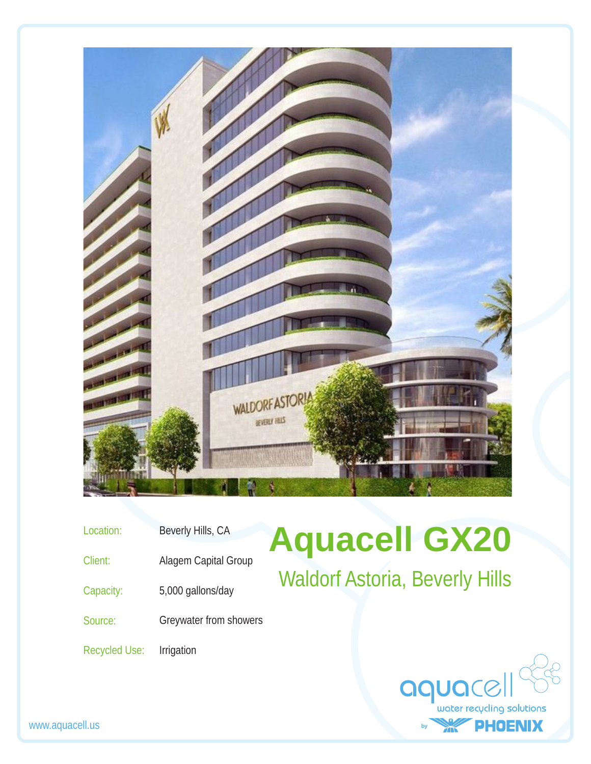

- Location: Beverly Hills, CA
- Client: Alagem Capital Group
- Capacity: 5,000 gallons/day
- Source: Greywater from showers
- Recycled Use: Irrigation

## **Aquacell GX20** Waldorf Astoria, Beverly Hills